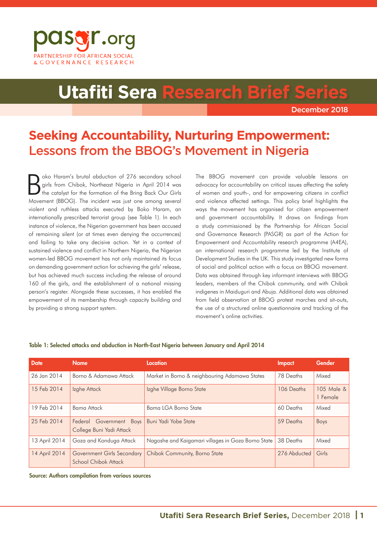

# **Utafiti Sera Research Brief S**

December 2018

## **Seeking Accountability, Nurturing Empowerment:** Lessons from the BBOG's Movement in Nigeria

B oko Haram's brutal abduction of 276 secondary school girls from Chibok, Northeast Nigeria in April 2014 was the catalyst for the formation of the Bring Back Our Girls Movement (BBOG). The incident was just one among several violent and ruthless attacks executed by Boko Haram, an internationally prescribed terrorist group (see Table 1). In each instance of violence, the Nigerian government has been accused of remaining silent (or at times even denying the occurrences) and failing to take any decisive action. Yet in a context of sustained violence and conflict in Northern Nigeria, the Nigerian women-led BBOG movement has not only maintained its focus on demanding government action for achieving the girls' release, but has achieved much success including the release of around 160 of the girls, and the establishment of a national missing person's register. Alongside these successes, it has enabled the empowerment of its membership through capacity building and by providing a strong support system.

The BBOG movement can provide valuable lessons on advocacy for accountability on critical issues affecting the safety of women and youth-, and for empowering citizens in conflict and violence affected settings. This policy brief highlights the ways the movement has organised for citizen empowerment and government accountability. It draws on findings from a study commissioned by the Partnership for African Social and Governance Research (PASGR) as part of the Action for Empowerment and Accountability research programme (A4EA), an international research programme led by the Institute of Development Studies in the UK. This study investigated new forms of social and political action with a focus on BBOG movement. Data was obtained through key informant interviews with BBOG leaders, members of the Chibok community, and with Chibok indigenes in Maiduguri and Abuja. Additional data was obtained from field observation at BBOG protest marches and sit-outs, the use of a structured online questionnaire and tracking of the movement's online activities.

| <b>Date</b>   | <b>Name</b>                                         | Location                                           | Impact       | Gender                 |
|---------------|-----------------------------------------------------|----------------------------------------------------|--------------|------------------------|
| 26 Jan 2014   | Borno & Adamawa Attack                              | Market in Borno & neighbouring Adamawa States      | 78 Deaths    | Mixed                  |
| 15 Feb 2014   | Izghe Attack                                        | Izghe Village Borno State                          | 106 Deaths   | 105 Male &<br>1 Female |
| 19 Feb 2014   | Bama Attack                                         | Bama LGA Borno State                               | 60 Deaths    | Mixed                  |
| 25 Feb 2014   | Federal Government Boys<br>College Buni Yadi Attack | Buni Yadi Yobe State                               | 59 Deaths    | <b>Boys</b>            |
| 13 April 2014 | Goza and Konduga Attack                             | Nagoshe and Kaigamari villages in Goza Borno State | 38 Deaths    | Mixed                  |
| 14 April 2014 | Government Girls Secondary<br>School Chibok Attack  | Chibok Community, Borno State                      | 276 Abducted | Girls                  |

#### Table 1: Selected attacks and abduction in North-East Nigeria between January and April 2014

Source: Authors compilation from various sources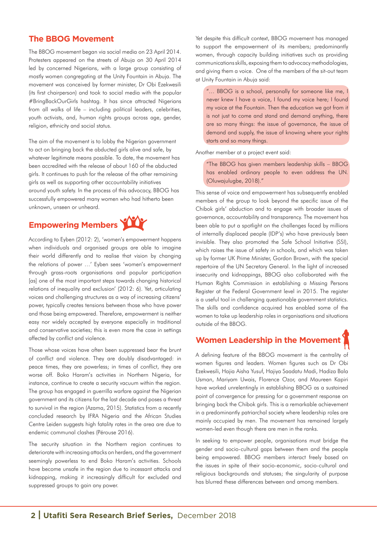### **The BBOG Movement**

The BBOG movement began via social media on 23 April 2014. Protesters appeared on the streets of Abuja on 30 April 2014 led by concerned Nigerians, with a large group consisting of mostly women congregating at the Unity Fountain in Abuja. The movement was conceived by former minister, Dr Obi Ezekwesili (its first chairperson) and took to social media with the popular #BringBackOurGirls hashtag. It has since attracted Nigerians from all walks of life – including political leaders, celebrities, youth activists, and, human rights groups across age, gender, religion, ethnicity and social status.

The aim of the movement is to lobby the Nigerian government to act on bringing back the abducted girls alive and safe, by whatever legitimate means possible. To date, the movement has been accredited with the release of about 160 of the abducted girls. It continues to push for the release of the other remaining girls as well as supporting other accountability initiatives around youth safety. In the process of this advocacy, BBOG has successfully empowered many women who had hitherto been unknown, unseen or unheard.

# **Empowering Members**

According to Eyben (2012: 2), 'women's empowerment happens when individuals and organised groups are able to imagine their world differently and to realise that vision by changing the relations of power …' Eyben sees 'women's empowerment through grass-roots organisations and popular participation [as] one of the most important steps towards changing historical relations of inequality and exclusion' (2012: 6). Yet, articulating voices and challenging structures as a way of increasing citizens' power, typically creates tensions between those who have power and those being empowered. Therefore, empowerment is neither easy nor widely accepted by everyone especially in traditional and conservative societies; this is even more the case in settings affected by conflict and violence.

Those whose voices have often been suppressed bear the brunt of conflict and violence. They are doubly disadvantaged: in peace times, they are powerless; in times of conflict, they are worse off. Boko Haram's activities in Northern Nigeria, for instance, continue to create a security vacuum within the region. The group has engaged in guerrilla warfare against the Nigerian government and its citizens for the last decade and poses a threat to survival in the region (Azama, 2015). Statistics from a recently concluded research by IFRA Nigeria and the African Studies Centre Leiden suggests high fatality rates in the area are due to endemic communal clashes (Pérouse 2016).

The security situation in the Northern region continues to deteriorate with increasing attacks on herders, and the government seemingly powerless to end Boko Haram's activities. Schools have become unsafe in the region due to incessant attacks and kidnapping, making it increasingly difficult for excluded and suppressed groups to gain any power.

Yet despite this difficult context, BBOG movement has managed to support the empowerment of its members; predominantly women, through capacity building initiatives such as providing communications skills, exposing them to advocacy methodologies, and giving them a voice. One of the members of the sit-out team at Unity Fountain in Abuja said:

"… BBOG is a school, personally for someone like me, I never knew I have a voice, I found my voice here; I found my voice at the Fountain. Then the education we got from it is not just to come and stand and demand anything, there are so many things: the issue of governance, the issue of demand and supply, the issue of knowing where your rights starts and so many things.

Another member at a project event said:

"The BBOG has given members leadership skills – BBOG has enabled ordinary people to even address the UN. (Oluwajulugbe, 2018)."

This sense of voice and empowerment has subsequently enabled members of the group to look beyond the specific issue of the Chibok girls' abduction and to engage with broader issues of governance, accountability and transparency. The movement has been able to put a spotlight on the challenges faced by millions of internally displaced people (IDP's) who have previously been invisible. They also promoted the Safe School Initiative (SSI), which raises the issue of safety in schools, and which was taken up by former UK Prime Minister, Gordon Brown, with the special repertoire of the UN Secretary General. In the light of increased insecurity and kidnappings, BBOG also collaborated with the Human Rights Commission in establishing a Missing Persons Register at the Federal Government level in 2015. The register is a useful tool in challenging questionable government statistics. The skills and confidence acquired has enabled some of the women to take up leadership roles in organisations and situations outside of the BBOG.

### **Women Leadership in the Movement**

A defining feature of the BBOG movement is the centrality of women figures and leaders. Women figures such as Dr Obi Ezekwesili, Hajia Aisha Yusuf, Hajiya Saadatu Madi, Hadiza Bala Usman, Mariyam Uwais, Florence Ozor, and Maureen Kapiri have worked unrelentingly in establishing BBOG as a sustained point of convergence for pressing for a government response on bringing back the Chibok girls. This is a remarkable achievement in a predominantly patriarchal society where leadership roles are mainly occupied by men. The movement has remained largely women-led even though there are men in the ranks.

In seeking to empower people, organisations must bridge the gender and socio-cultural gaps between them and the people being empowered. BBOG members interact freely based on the issues in spite of their socio-economic, socio-cultural and religious backgrounds and statuses; the singularity of purpose has blurred these differences between and among members.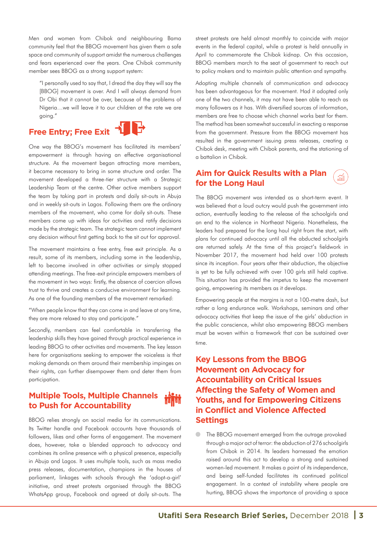Men and women from Chibok and neighbouring Bama community feel that the BBOG movement has given them a safe space and community of support amidst the numerous challenges and fears experienced over the years. One Chibok community member sees BBOG as a strong support system:

"I personally used to say that, I dread the day they will say the [BBOG] movement is over. And I will always demand from Dr Obi that it cannot be over, because of the problems of Nigeria…we will leave it to our children at the rate we are going."

# **Free Entry; Free Exit + PH**



One way the BBOG's movement has facilitated its members' empowerment is through having an effective organisational structure. As the movement began attracting more members, it became necessary to bring in some structure and order. The movement developed a three-tier structure with a Strategic Leadership Team at the centre. Other active members support the team by taking part in protests and daily sit-outs in Abuja and in weekly sit-outs in Lagos. Following them are the ordinary members of the movement, who come for daily sit-outs. These members come up with ideas for activities and ratify decisions made by the strategic team. The strategic team cannot implement any decision without first getting back to the sit out for approval.

The movement maintains a free entry, free exit principle. As a result, some of its members, including some in the leadership, left to become involved in other activities or simply stopped attending meetings. The free-exit principle empowers members of the movement in two ways: firstly, the absence of coercion allows trust to thrive and creates a conducive environment for learning. As one of the founding members of the movement remarked:

"When people know that they can come in and leave at any time, they are more relaxed to stay and participate."

Secondly, members can feel comfortable in transferring the leadership skills they have gained through practical experience in leading BBOG to other activities and movements. The key lesson here for organisations seeking to empower the voiceless is that making demands on them around their membership impinges on their rights, can further disempower them and deter them from participation.

#### **Multiple Tools, Multiple Channels**  ad Mo **to Push for Accountability**

BBOG relies strongly on social media for its communications. Its Twitter handle and Facebook accounts have thousands of followers, likes and other forms of engagement. The movement does, however, take a blended approach to advocacy and combines its online presence with a physical presence, especially in Abuja and Lagos. It uses multiple tools, such as mass media press releases, documentation, champions in the houses of parliament, linkages with schools through the 'adopt-a-girl' initiative, and street protests organised through the BBOG WhatsApp group, Facebook and agreed at daily sit-outs. The

street protests are held almost monthly to coincide with major events in the federal capital, while a protest is held annually in April to commemorate the Chibok kidnap. On this occasion, BBOG members march to the seat of government to reach out to policy makers and to maintain public attention and sympathy.

Adopting multiple channels of communication and advocacy has been advantageous for the movement. Had it adopted only one of the two channels, it may not have been able to reach as many followers as it has. With diversified sources of information, members are free to choose which channel works best for them. The method has been somewhat successful in exacting a response from the government. Pressure from the BBOG movement has resulted in the government issuing press releases, creating a Chibok desk, meeting with Chibok parents, and the stationing of a battalion in Chibok.

### **Aim for Quick Results with a Plan for the Long Haul**

م<br>المهن

The BBOG movement was intended as a short-term event. It was believed that a loud outcry would push the government into action, eventually leading to the release of the schoolgirls and an end to the violence in Northeast Nigeria. Nonetheless, the leaders had prepared for the long haul right from the start, with plans for continued advocacy until all the abducted schoolgirls are returned safely. At the time of this project's fieldwork in November 2017, the movement had held over 100 protests since its inception. Four years after their abduction, the objective is yet to be fully achieved with over 100 girls still held captive. This situation has provided the impetus to keep the movement going, empowering its members as it develops.

Empowering people at the margins is not a 100-metre dash, but rather a long endurance walk. Workshops, seminars and other advocacy activities that keep the issue of the girls' abduction in the public conscience, whilst also empowering BBOG members must be woven within a framework that can be sustained over time.

### **Key Lessons from the BBOG Movement on Advocacy for Accountability on Critical Issues Affecting the Safety of Women and Youths, and for Empowering Citizens in Conflict and Violence Affected Settings**

 $\bullet$ The BBOG movement emerged from the outrage provoked through a major act of terror: the abduction of 276 schoolgirls from Chibok in 2014. Its leaders harnessed the emotion raised around this act to develop a strong and sustained women-led movement. It makes a point of its independence, and being self-funded facilitates its continued political engagement. In a context of instability where people are hurting, BBOG shows the importance of providing a space